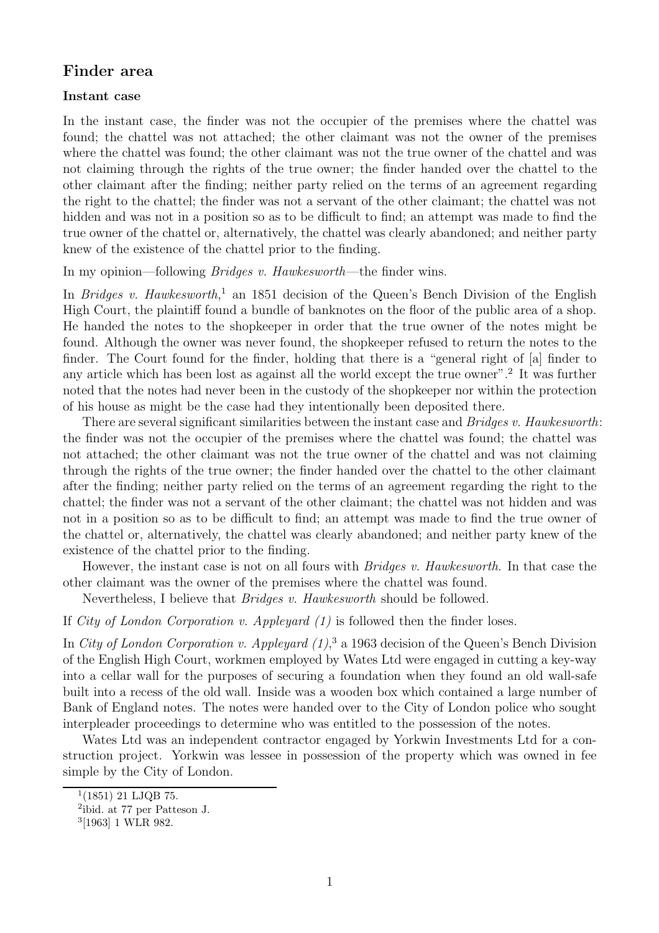## **Finder area**

## **Instant case**

In the instant case, the finder was not the occupier of the premises where the chattel was found; the chattel was not attached; the other claimant was not the owner of the premises where the chattel was found; the other claimant was not the true owner of the chattel and was not claiming through the rights of the true owner; the finder handed over the chattel to the other claimant after the finding; neither party relied on the terms of an agreement regarding the right to the chattel; the finder was not a servant of the other claimant; the chattel was not hidden and was not in a position so as to be difficult to find; an attempt was made to find the true owner of the chattel or, alternatively, the chattel was clearly abandoned; and neither party knew of the existence of the chattel prior to the finding.

In my opinion—following Bridges v. Hawkesworth—the finder wins.

In *Bridges v. Hawkesworth*,<sup>1</sup> an 1851 decision of the Queen's Bench Division of the English High Court, the plaintiff found a bundle of banknotes on the floor of the public area of a shop. He handed the notes to the shopkeeper in order that the true owner of the notes might be found. Although the owner was never found, the shopkeeper refused to return the notes to the finder. The Court found for the finder, holding that there is a "general right of [a] finder to any article which has been lost as against all the world except the true owner".<sup>2</sup> It was further noted that the notes had never been in the custody of the shopkeeper nor within the protection of his house as might be the case had they intentionally been deposited there.

There are several significant similarities between the instant case and *Bridges v. Hawkesworth*: the finder was not the occupier of the premises where the chattel was found; the chattel was not attached; the other claimant was not the true owner of the chattel and was not claiming through the rights of the true owner; the finder handed over the chattel to the other claimant after the finding; neither party relied on the terms of an agreement regarding the right to the chattel; the finder was not a servant of the other claimant; the chattel was not hidden and was not in a position so as to be difficult to find; an attempt was made to find the true owner of the chattel or, alternatively, the chattel was clearly abandoned; and neither party knew of the existence of the chattel prior to the finding.

However, the instant case is not on all fours with Bridges v. Hawkesworth. In that case the other claimant was the owner of the premises where the chattel was found.

Nevertheless, I believe that Bridges v. Hawkesworth should be followed.

If City of London Corporation v. Appleyard  $(1)$  is followed then the finder loses.

In City of London Corporation v. Appleyard  $(1)$ ,<sup>3</sup> a 1963 decision of the Queen's Bench Division of the English High Court, workmen employed by Wates Ltd were engaged in cutting a key-way into a cellar wall for the purposes of securing a foundation when they found an old wall-safe built into a recess of the old wall. Inside was a wooden box which contained a large number of Bank of England notes. The notes were handed over to the City of London police who sought interpleader proceedings to determine who was entitled to the possession of the notes.

Wates Ltd was an independent contractor engaged by Yorkwin Investments Ltd for a construction project. Yorkwin was lessee in possession of the property which was owned in fee simple by the City of London.

 $1(1851)$  21 LJQB 75.

<sup>2</sup>ibid. at 77 per Patteson J.

<sup>3</sup>[1963] 1 WLR 982.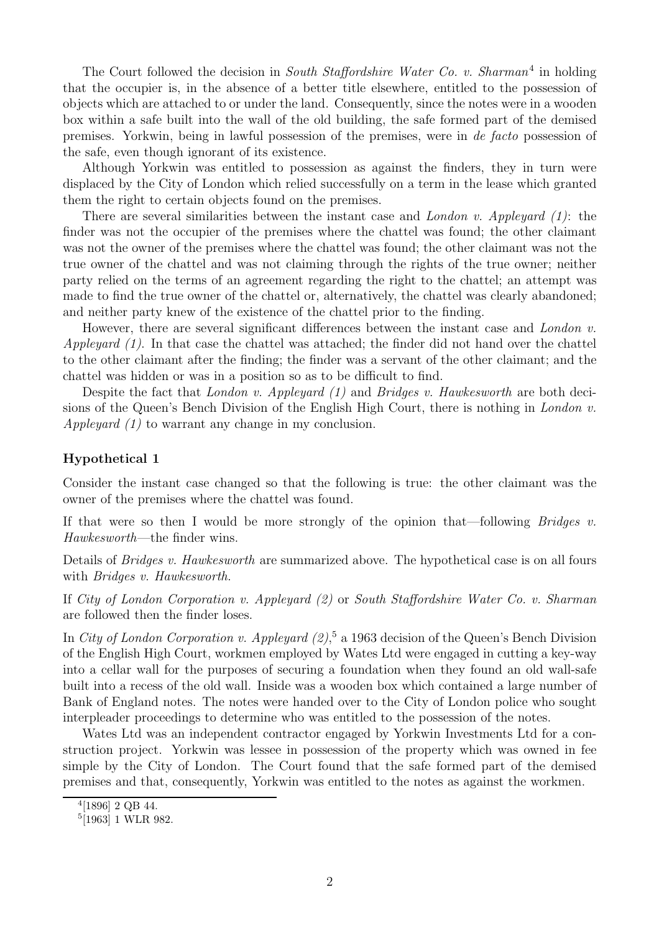The Court followed the decision in South Staffordshire Water Co. v. Sharman<sup>4</sup> in holding that the occupier is, in the absence of a better title elsewhere, entitled to the possession of objects which are attached to or under the land. Consequently, since the notes were in a wooden box within a safe built into the wall of the old building, the safe formed part of the demised premises. Yorkwin, being in lawful possession of the premises, were in de facto possession of the safe, even though ignorant of its existence.

Although Yorkwin was entitled to possession as against the finders, they in turn were displaced by the City of London which relied successfully on a term in the lease which granted them the right to certain objects found on the premises.

There are several similarities between the instant case and *London v. Appleyard*  $(1)$ : the finder was not the occupier of the premises where the chattel was found; the other claimant was not the owner of the premises where the chattel was found; the other claimant was not the true owner of the chattel and was not claiming through the rights of the true owner; neither party relied on the terms of an agreement regarding the right to the chattel; an attempt was made to find the true owner of the chattel or, alternatively, the chattel was clearly abandoned; and neither party knew of the existence of the chattel prior to the finding.

However, there are several significant differences between the instant case and London v. Appleyard  $(1)$ . In that case the chattel was attached; the finder did not hand over the chattel to the other claimant after the finding; the finder was a servant of the other claimant; and the chattel was hidden or was in a position so as to be difficult to find.

Despite the fact that *London v. Appleyard (1)* and *Bridges v. Hawkesworth* are both decisions of the Queen's Bench Division of the English High Court, there is nothing in London v. Appleyard (1) to warrant any change in my conclusion.

## **Hypothetical 1**

Consider the instant case changed so that the following is true: the other claimant was the owner of the premises where the chattel was found.

If that were so then I would be more strongly of the opinion that—following *Bridges v.* Hawkesworth—the finder wins.

Details of *Bridges v. Hawkesworth* are summarized above. The hypothetical case is on all fours with *Bridges v. Hawkesworth*.

If City of London Corporation v. Appleyard (2) or South Staffordshire Water Co. v. Sharman are followed then the finder loses.

In City of London Corporation v. Appleyard (2),<sup>5</sup> a 1963 decision of the Queen's Bench Division of the English High Court, workmen employed by Wates Ltd were engaged in cutting a key-way into a cellar wall for the purposes of securing a foundation when they found an old wall-safe built into a recess of the old wall. Inside was a wooden box which contained a large number of Bank of England notes. The notes were handed over to the City of London police who sought interpleader proceedings to determine who was entitled to the possession of the notes.

Wates Ltd was an independent contractor engaged by Yorkwin Investments Ltd for a construction project. Yorkwin was lessee in possession of the property which was owned in fee simple by the City of London. The Court found that the safe formed part of the demised premises and that, consequently, Yorkwin was entitled to the notes as against the workmen.

<sup>4</sup>[1896] 2 QB 44.

 $5$ [1963] 1 WLR 982.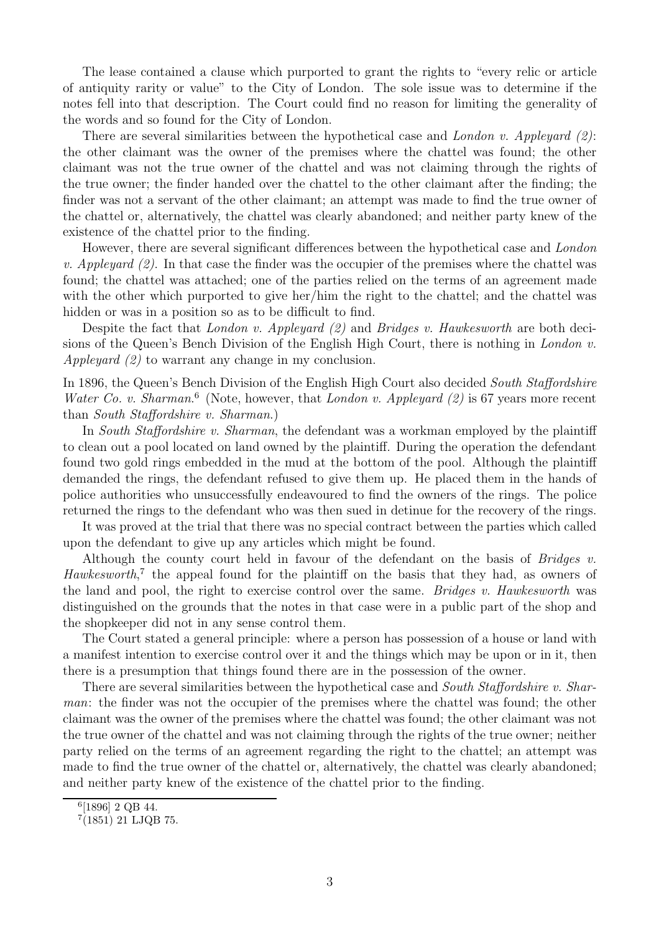The lease contained a clause which purported to grant the rights to "every relic or article of antiquity rarity or value" to the City of London. The sole issue was to determine if the notes fell into that description. The Court could find no reason for limiting the generality of the words and so found for the City of London.

There are several similarities between the hypothetical case and London v. Appleyard  $(2)$ : the other claimant was the owner of the premises where the chattel was found; the other claimant was not the true owner of the chattel and was not claiming through the rights of the true owner; the finder handed over the chattel to the other claimant after the finding; the finder was not a servant of the other claimant; an attempt was made to find the true owner of the chattel or, alternatively, the chattel was clearly abandoned; and neither party knew of the existence of the chattel prior to the finding.

However, there are several significant differences between the hypothetical case and London v. Appleyard  $(2)$ . In that case the finder was the occupier of the premises where the chattel was found; the chattel was attached; one of the parties relied on the terms of an agreement made with the other which purported to give her/him the right to the chattel; and the chattel was hidden or was in a position so as to be difficult to find.

Despite the fact that *London v. Appleyard (2)* and *Bridges v. Hawkesworth* are both decisions of the Queen's Bench Division of the English High Court, there is nothing in *London v.* Appleyard (2) to warrant any change in my conclusion.

In 1896, the Queen's Bench Division of the English High Court also decided South Staffordshire Water Co. v. Sharman.<sup>6</sup> (Note, however, that London v. Appleyard  $(2)$  is 67 years more recent than South Staffordshire v. Sharman.)

In South Staffordshire v. Sharman, the defendant was a workman employed by the plaintiff to clean out a pool located on land owned by the plaintiff. During the operation the defendant found two gold rings embedded in the mud at the bottom of the pool. Although the plaintiff demanded the rings, the defendant refused to give them up. He placed them in the hands of police authorities who unsuccessfully endeavoured to find the owners of the rings. The police returned the rings to the defendant who was then sued in detinue for the recovery of the rings.

It was proved at the trial that there was no special contract between the parties which called upon the defendant to give up any articles which might be found.

Although the county court held in favour of the defendant on the basis of Bridges v. Hawkesworth,<sup>7</sup> the appeal found for the plaintiff on the basis that they had, as owners of the land and pool, the right to exercise control over the same. Bridges v. Hawkesworth was distinguished on the grounds that the notes in that case were in a public part of the shop and the shopkeeper did not in any sense control them.

The Court stated a general principle: where a person has possession of a house or land with a manifest intention to exercise control over it and the things which may be upon or in it, then there is a presumption that things found there are in the possession of the owner.

There are several similarities between the hypothetical case and South Staffordshire v. Sharman: the finder was not the occupier of the premises where the chattel was found; the other claimant was the owner of the premises where the chattel was found; the other claimant was not the true owner of the chattel and was not claiming through the rights of the true owner; neither party relied on the terms of an agreement regarding the right to the chattel; an attempt was made to find the true owner of the chattel or, alternatively, the chattel was clearly abandoned; and neither party knew of the existence of the chattel prior to the finding.

<sup>6</sup>[1896] 2 QB 44.

<sup>7</sup>(1851) 21 LJQB 75.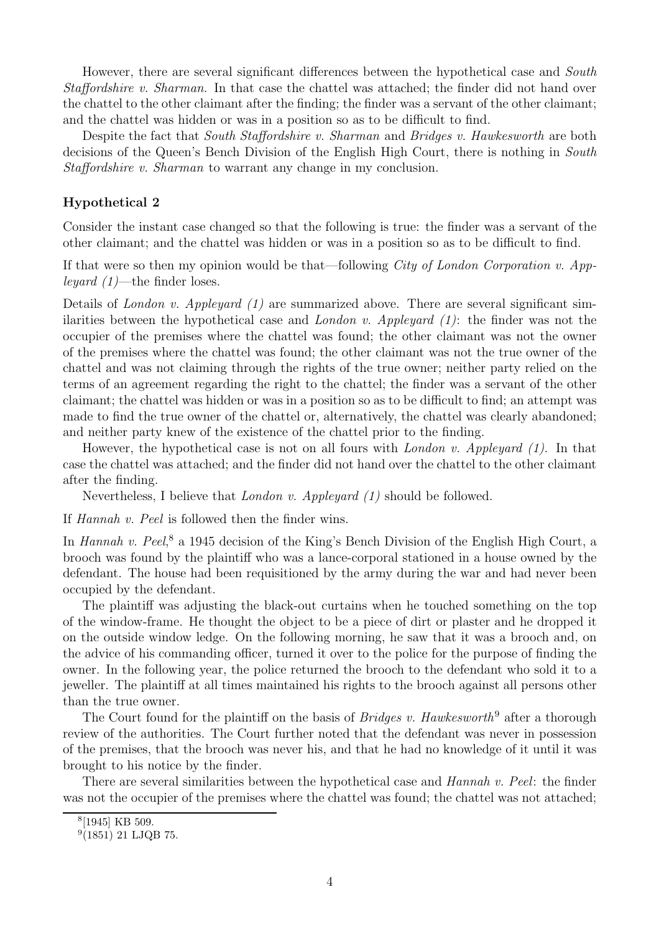However, there are several significant differences between the hypothetical case and South Staffordshire v. Sharman. In that case the chattel was attached; the finder did not hand over the chattel to the other claimant after the finding; the finder was a servant of the other claimant; and the chattel was hidden or was in a position so as to be difficult to find.

Despite the fact that *South Staffordshire v. Sharman* and *Bridges v. Hawkesworth* are both decisions of the Queen's Bench Division of the English High Court, there is nothing in South Staffordshire v. Sharman to warrant any change in my conclusion.

## **Hypothetical 2**

Consider the instant case changed so that the following is true: the finder was a servant of the other claimant; and the chattel was hidden or was in a position so as to be difficult to find.

If that were so then my opinion would be that—following *City of London Corporation v. App*leyard  $(1)$ —the finder loses.

Details of London v. Appleyard  $(1)$  are summarized above. There are several significant similarities between the hypothetical case and *London v. Appleyard*  $(1)$ : the finder was not the occupier of the premises where the chattel was found; the other claimant was not the owner of the premises where the chattel was found; the other claimant was not the true owner of the chattel and was not claiming through the rights of the true owner; neither party relied on the terms of an agreement regarding the right to the chattel; the finder was a servant of the other claimant; the chattel was hidden or was in a position so as to be difficult to find; an attempt was made to find the true owner of the chattel or, alternatively, the chattel was clearly abandoned; and neither party knew of the existence of the chattel prior to the finding.

However, the hypothetical case is not on all fours with *London v. Appleyard (1)*. In that case the chattel was attached; and the finder did not hand over the chattel to the other claimant after the finding.

Nevertheless, I believe that London v. Appleyard (1) should be followed.

If Hannah v. Peel is followed then the finder wins.

In Hannah v. Peel,<sup>8</sup> a 1945 decision of the King's Bench Division of the English High Court, a brooch was found by the plaintiff who was a lance-corporal stationed in a house owned by the defendant. The house had been requisitioned by the army during the war and had never been occupied by the defendant.

The plaintiff was adjusting the black-out curtains when he touched something on the top of the window-frame. He thought the object to be a piece of dirt or plaster and he dropped it on the outside window ledge. On the following morning, he saw that it was a brooch and, on the advice of his commanding officer, turned it over to the police for the purpose of finding the owner. In the following year, the police returned the brooch to the defendant who sold it to a jeweller. The plaintiff at all times maintained his rights to the brooch against all persons other than the true owner.

The Court found for the plaintiff on the basis of *Bridges v. Hawkesworth*<sup>9</sup> after a thorough review of the authorities. The Court further noted that the defendant was never in possession of the premises, that the brooch was never his, and that he had no knowledge of it until it was brought to his notice by the finder.

There are several similarities between the hypothetical case and Hannah v. Peel: the finder was not the occupier of the premises where the chattel was found; the chattel was not attached;

<sup>8</sup>[1945] KB 509.

 $9(1851)$  21 LJQB 75.